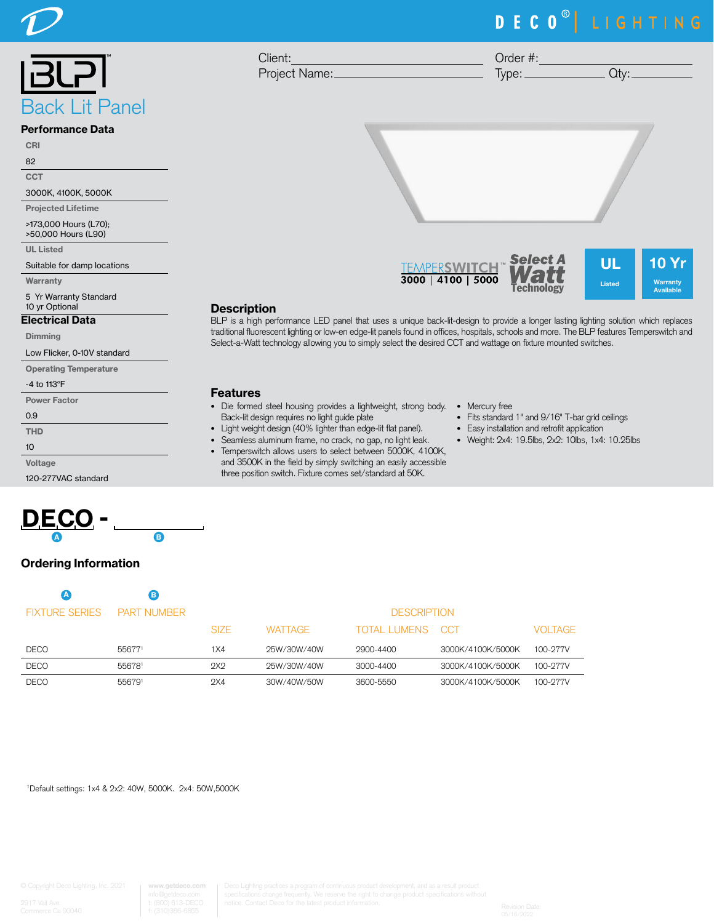

# DECO<sup>®</sup> LIGHTING

10 Yr Warranty Available

| Client:       | Order #: |    |
|---------------|----------|----|
| Project Name: | Ivpe:    | H' |



#### Performance Data

CRI

82

**CCT** 

3000K, 4100K, 5000K

Projected Lifetime

>173,000 Hours (L70);

>50,000 Hours (L90)

UL Listed

Suitable for damp locations

**Warranty** 

5 Yr Warranty Standard 10 yr Optional

### Electrical Data

Dimming

Low Flicker, 0-10V standard

Operating Temperature

#### -4 to 113°F

| <b>Power Factor</b> |
|---------------------|
| 0.9                 |
| <b>THD</b>          |
| 10                  |

Voltage

120-277VAC standard



# Ordering Information

|                       | B.                 |                    |                |                  |                   |                |
|-----------------------|--------------------|--------------------|----------------|------------------|-------------------|----------------|
| <b>FIXTURE SERIES</b> | <b>PART NUMBER</b> | <b>DESCRIPTION</b> |                |                  |                   |                |
|                       |                    | SIZE.              | <b>WATTAGE</b> | TOTAL LUMENS CCT |                   | <b>VOLTAGE</b> |
| <b>DECO</b>           | 556771             | 1 X 4              | 25W/30W/40W    | 2900-4400        | 3000K/4100K/5000K | 100-277V       |
| <b>DECO</b>           | 556781             | 2X2                | 25W/30W/40W    | 3000-4400        | 3000K/4100K/5000K | 100-277V       |
| <b>DECO</b>           | 556791             | 2X4                | 30W/40W/50W    | 3600-5550        | 3000K/4100K/5000K | 100-277V       |

1 Default settings: 1x4 & 2x2: 40W, 5000K. 2x4: 50W,5000K





BLP is a high performance LED panel that uses a unique back-lit-design to provide a longer lasting lighting solution which replaces traditional fluorescent lighting or low-en edge-lit panels found in offices, hospitals, schools and more. The BLP features Temperswitch and Select-a-Watt technology allowing you to simply select the desired CCT and wattage on fixture mounted switches.

#### Features

**Description** 

- Die formed steel housing provides a lightweight, strong body. Mercury free Back-lit design requires no light guide plate
- Light weight design (40% lighter than edge-lit flat panel).
- Seamless aluminum frame, no crack, no gap, no light leak.
- Temperswitch allows users to select between 5000K, 4100K,
- and 3500K in the field by simply switching an easily accessible three position switch. Fixture comes set/standard at 50K.
- 
- Fits standard 1" and 9/16" T-bar grid ceilings
- Easy installation and retrofit application
- Weight: 2x4: 19.5lbs, 2x2: 10lbs, 1x4: 10.25lbs